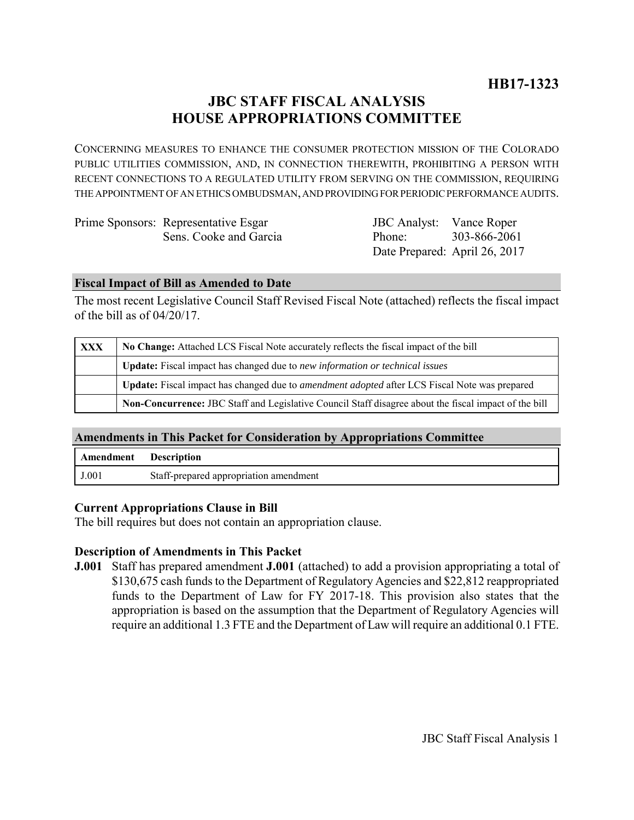# **JBC STAFF FISCAL ANALYSIS HOUSE APPROPRIATIONS COMMITTEE**

CONCERNING MEASURES TO ENHANCE THE CONSUMER PROTECTION MISSION OF THE COLORADO PUBLIC UTILITIES COMMISSION, AND, IN CONNECTION THEREWITH, PROHIBITING A PERSON WITH RECENT CONNECTIONS TO A REGULATED UTILITY FROM SERVING ON THE COMMISSION, REQUIRING THE APPOINTMENT OF AN ETHICS OMBUDSMAN, AND PROVIDING FOR PERIODIC PERFORMANCE AUDITS.

| Prime Sponsors: Representative Esgar | <b>JBC</b> Analyst: Vance Roper |              |
|--------------------------------------|---------------------------------|--------------|
| Sens. Cooke and Garcia               | Phone:                          | 303-866-2061 |
|                                      | Date Prepared: April 26, 2017   |              |

#### **Fiscal Impact of Bill as Amended to Date**

The most recent Legislative Council Staff Revised Fiscal Note (attached) reflects the fiscal impact of the bill as of 04/20/17.

| XXX | No Change: Attached LCS Fiscal Note accurately reflects the fiscal impact of the bill                 |  |
|-----|-------------------------------------------------------------------------------------------------------|--|
|     | <b>Update:</b> Fiscal impact has changed due to new information or technical issues                   |  |
|     | Update: Fiscal impact has changed due to <i>amendment adopted</i> after LCS Fiscal Note was prepared  |  |
|     | Non-Concurrence: JBC Staff and Legislative Council Staff disagree about the fiscal impact of the bill |  |

### **Amendments in This Packet for Consideration by Appropriations Committee**

| <b>Amendment</b> Description |                                        |
|------------------------------|----------------------------------------|
| J.001                        | Staff-prepared appropriation amendment |

### **Current Appropriations Clause in Bill**

The bill requires but does not contain an appropriation clause.

### **Description of Amendments in This Packet**

**J.001** Staff has prepared amendment **J.001** (attached) to add a provision appropriating a total of \$130,675 cash funds to the Department of Regulatory Agencies and \$22,812 reappropriated funds to the Department of Law for FY 2017-18. This provision also states that the appropriation is based on the assumption that the Department of Regulatory Agencies will require an additional 1.3 FTE and the Department of Law will require an additional 0.1 FTE.